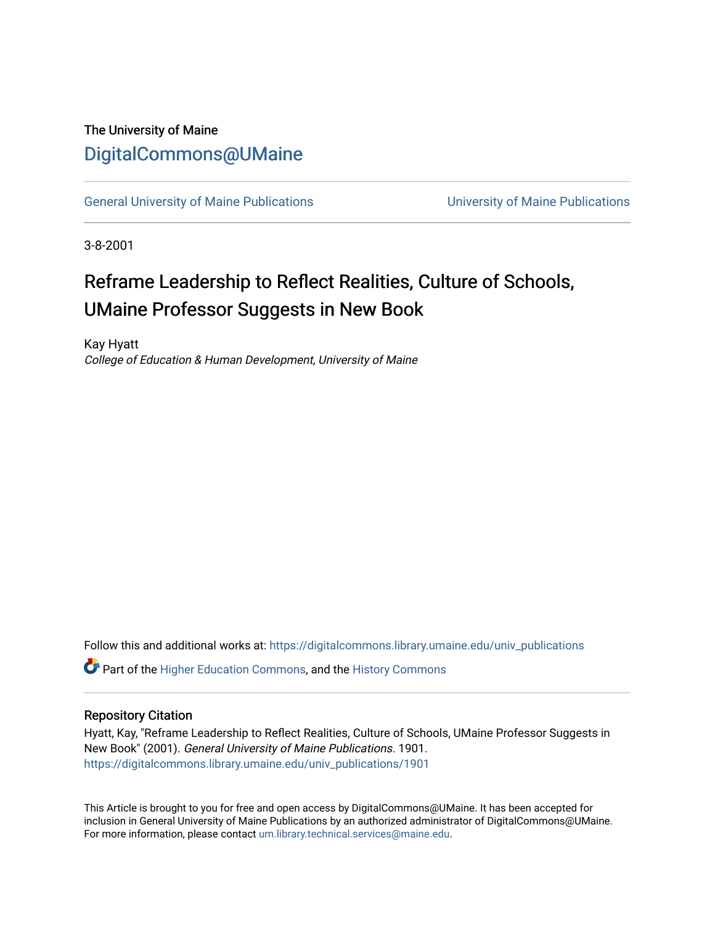### The University of Maine [DigitalCommons@UMaine](https://digitalcommons.library.umaine.edu/)

[General University of Maine Publications](https://digitalcommons.library.umaine.edu/univ_publications) [University of Maine Publications](https://digitalcommons.library.umaine.edu/umaine_publications) 

3-8-2001

# Reframe Leadership to Reflect Realities, Culture of Schools, UMaine Professor Suggests in New Book

Kay Hyatt College of Education & Human Development, University of Maine

Follow this and additional works at: [https://digitalcommons.library.umaine.edu/univ\\_publications](https://digitalcommons.library.umaine.edu/univ_publications?utm_source=digitalcommons.library.umaine.edu%2Funiv_publications%2F1901&utm_medium=PDF&utm_campaign=PDFCoverPages) 

**C** Part of the [Higher Education Commons,](http://network.bepress.com/hgg/discipline/1245?utm_source=digitalcommons.library.umaine.edu%2Funiv_publications%2F1901&utm_medium=PDF&utm_campaign=PDFCoverPages) and the [History Commons](http://network.bepress.com/hgg/discipline/489?utm_source=digitalcommons.library.umaine.edu%2Funiv_publications%2F1901&utm_medium=PDF&utm_campaign=PDFCoverPages)

#### Repository Citation

Hyatt, Kay, "Reframe Leadership to Reflect Realities, Culture of Schools, UMaine Professor Suggests in New Book" (2001). General University of Maine Publications. 1901. [https://digitalcommons.library.umaine.edu/univ\\_publications/1901](https://digitalcommons.library.umaine.edu/univ_publications/1901?utm_source=digitalcommons.library.umaine.edu%2Funiv_publications%2F1901&utm_medium=PDF&utm_campaign=PDFCoverPages)

This Article is brought to you for free and open access by DigitalCommons@UMaine. It has been accepted for inclusion in General University of Maine Publications by an authorized administrator of DigitalCommons@UMaine. For more information, please contact [um.library.technical.services@maine.edu](mailto:um.library.technical.services@maine.edu).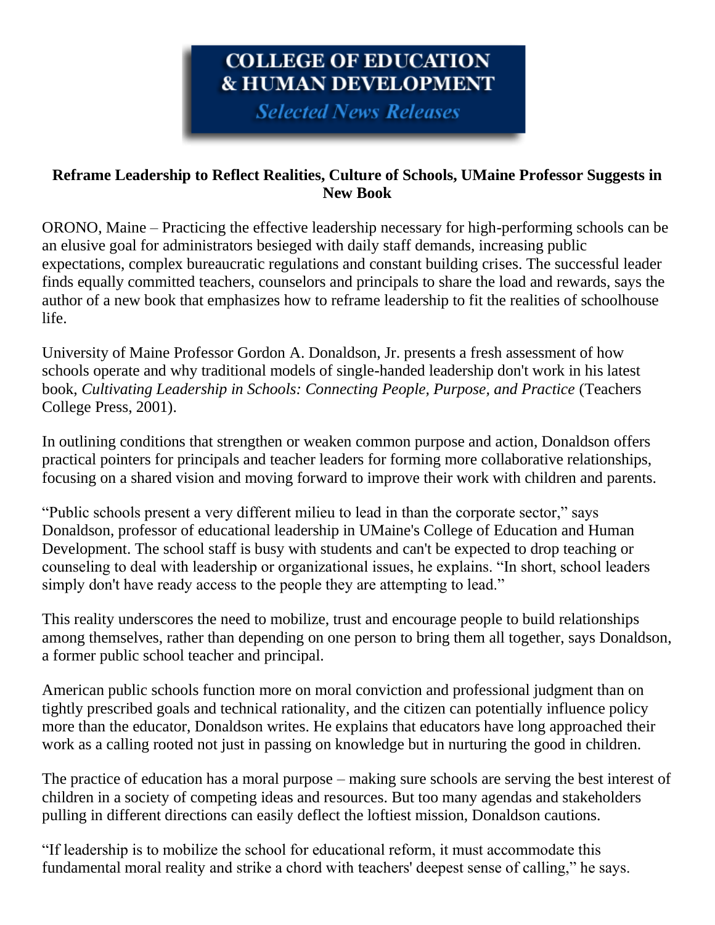## COLLEGE OF EDUCATION **& HUMAN DEVELOPMENT**

**Selected News Releases** 

### **Reframe Leadership to Reflect Realities, Culture of Schools, UMaine Professor Suggests in New Book**

ORONO, Maine – Practicing the effective leadership necessary for high-performing schools can be an elusive goal for administrators besieged with daily staff demands, increasing public expectations, complex bureaucratic regulations and constant building crises. The successful leader finds equally committed teachers, counselors and principals to share the load and rewards, says the author of a new book that emphasizes how to reframe leadership to fit the realities of schoolhouse life.

University of Maine Professor Gordon A. Donaldson, Jr. presents a fresh assessment of how schools operate and why traditional models of single-handed leadership don't work in his latest book, *Cultivating Leadership in Schools: Connecting People, Purpose, and Practice* (Teachers College Press, 2001).

In outlining conditions that strengthen or weaken common purpose and action, Donaldson offers practical pointers for principals and teacher leaders for forming more collaborative relationships, focusing on a shared vision and moving forward to improve their work with children and parents.

"Public schools present a very different milieu to lead in than the corporate sector," says Donaldson, professor of educational leadership in UMaine's College of Education and Human Development. The school staff is busy with students and can't be expected to drop teaching or counseling to deal with leadership or organizational issues, he explains. "In short, school leaders simply don't have ready access to the people they are attempting to lead."

This reality underscores the need to mobilize, trust and encourage people to build relationships among themselves, rather than depending on one person to bring them all together, says Donaldson, a former public school teacher and principal.

American public schools function more on moral conviction and professional judgment than on tightly prescribed goals and technical rationality, and the citizen can potentially influence policy more than the educator, Donaldson writes. He explains that educators have long approached their work as a calling rooted not just in passing on knowledge but in nurturing the good in children.

The practice of education has a moral purpose – making sure schools are serving the best interest of children in a society of competing ideas and resources. But too many agendas and stakeholders pulling in different directions can easily deflect the loftiest mission, Donaldson cautions.

"If leadership is to mobilize the school for educational reform, it must accommodate this fundamental moral reality and strike a chord with teachers' deepest sense of calling," he says.